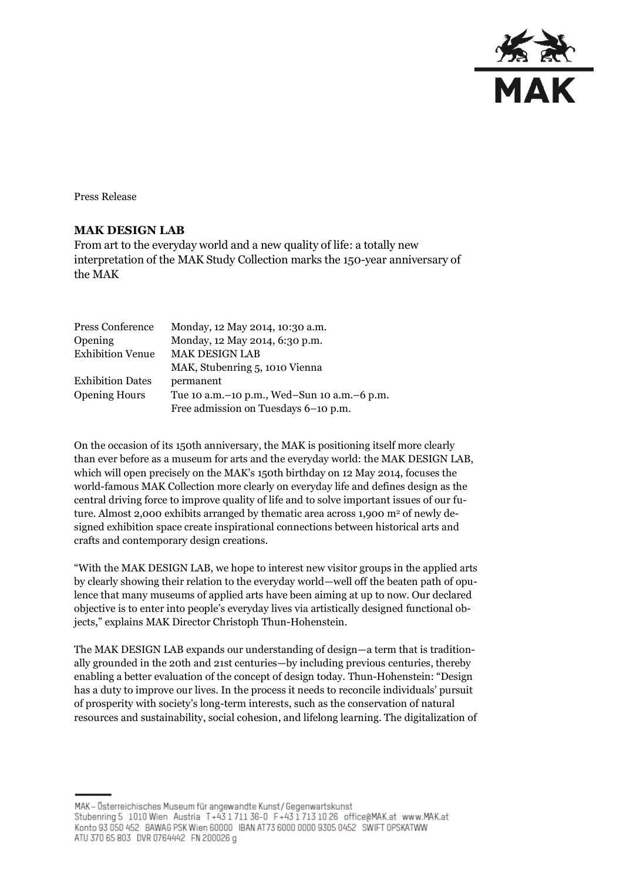

Press Release

## **MAK DESIGN LAB**

From art to the everyday world and a new quality of life: a totally new interpretation of the MAK Study Collection marks the 150-year anniversary of the MAK

| Press Conference        | Monday, 12 May 2014, 10:30 a.m.                 |
|-------------------------|-------------------------------------------------|
| Opening                 | Monday, 12 May 2014, 6:30 p.m.                  |
| <b>Exhibition Venue</b> | <b>MAK DESIGN LAB</b>                           |
|                         | MAK, Stubenring 5, 1010 Vienna                  |
| <b>Exhibition Dates</b> | permanent                                       |
| <b>Opening Hours</b>    | Tue 10 a.m. – 10 p.m., Wed–Sun 10 a.m. – 6 p.m. |
|                         | Free admission on Tuesdays 6-10 p.m.            |

On the occasion of its 150th anniversary, the MAK is positioning itself more clearly than ever before as a museum for arts and the everyday world: the MAK DESIGN LAB, which will open precisely on the MAK's 150th birthday on 12 May 2014, focuses the world-famous MAK Collection more clearly on everyday life and defines design as the central driving force to improve quality of life and to solve important issues of our future. Almost 2,000 exhibits arranged by thematic area across 1,900 m<sup>2</sup> of newly designed exhibition space create inspirational connections between historical arts and crafts and contemporary design creations.

"With the MAK DESIGN LAB, we hope to interest new visitor groups in the applied arts by clearly showing their relation to the everyday world—well off the beaten path of opulence that many museums of applied arts have been aiming at up to now. Our declared objective is to enter into people's everyday lives via artistically designed functional objects," explains MAK Director Christoph Thun-Hohenstein.

The MAK DESIGN LAB expands our understanding of design—a term that is traditionally grounded in the 20th and 21st centuries—by including previous centuries, thereby enabling a better evaluation of the concept of design today. Thun-Hohenstein: "Design has a duty to improve our lives. In the process it needs to reconcile individuals' pursuit of prosperity with society's long-term interests, such as the conservation of natural resources and sustainability, social cohesion, and lifelong learning. The digitalization of

MAK - Österreichisches Museum für angewandte Kunst / Gegenwartskunst Stubenring 5 1010 Wien Austria T+43 1711 36-0 F+43 1713 10 26 office@MAK.at www.MAK.at Konto 93 050 452 BAWAG PSK Wien 60000 IBAN AT73 6000 0000 9305 0452 SWIFT OPSKATWW ATU 370 65 803 DVR 0764442 FN 200026 g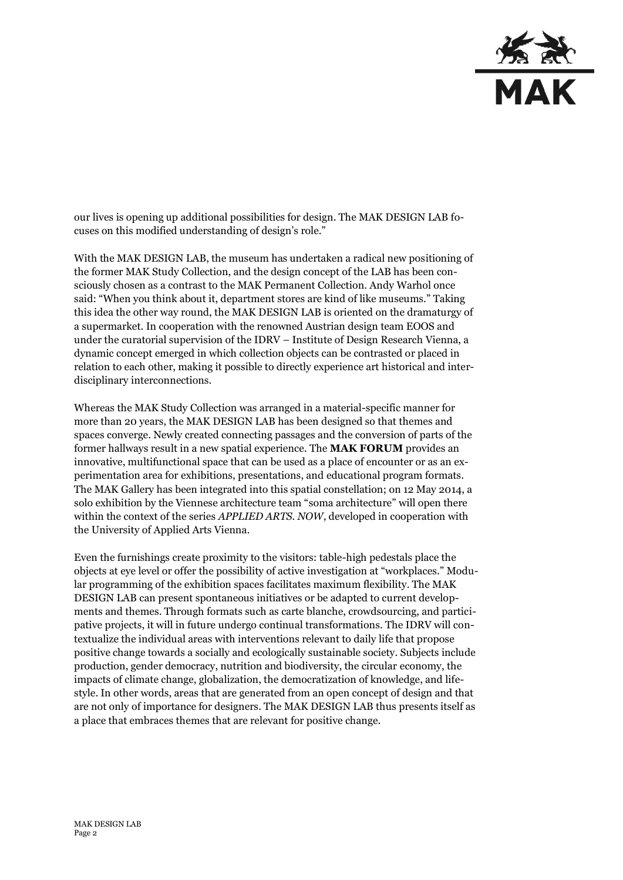

our lives is opening up additional possibilities for design. The MAK DESIGN LAB focuses on this modified understanding of design's role."

With the MAK DESIGN LAB, the museum has undertaken a radical new positioning of the former MAK Study Collection, and the design concept of the LAB has been consciously chosen as a contrast to the MAK Permanent Collection. Andy Warhol once said: "When you think about it, department stores are kind of like museums." Taking this idea the other way round, the MAK DESIGN LAB is oriented on the dramaturgy of a supermarket. In cooperation with the renowned Austrian design team EOOS and under the curatorial supervision of the IDRV – Institute of Design Research Vienna, a dynamic concept emerged in which collection objects can be contrasted or placed in relation to each other, making it possible to directly experience art historical and interdisciplinary interconnections.

Whereas the MAK Study Collection was arranged in a material-specific manner for more than 20 years, the MAK DESIGN LAB has been designed so that themes and spaces converge. Newly created connecting passages and the conversion of parts of the former hallways result in a new spatial experience. The **MAK FORUM** provides an innovative, multifunctional space that can be used as a place of encounter or as an experimentation area for exhibitions, presentations, and educational program formats. The MAK Gallery has been integrated into this spatial constellation; on 12 May 2014, a solo exhibition by the Viennese architecture team "soma architecture" will open there within the context of the series *APPLIED ARTS. NOW*, developed in cooperation with the University of Applied Arts Vienna.

Even the furnishings create proximity to the visitors: table-high pedestals place the objects at eye level or offer the possibility of active investigation at "workplaces." Modular programming of the exhibition spaces facilitates maximum flexibility. The MAK DESIGN LAB can present spontaneous initiatives or be adapted to current developments and themes. Through formats such as carte blanche, crowdsourcing, and participative projects, it will in future undergo continual transformations. The IDRV will contextualize the individual areas with interventions relevant to daily life that propose positive change towards a socially and ecologically sustainable society. Subjects include production, gender democracy, nutrition and biodiversity, the circular economy, the impacts of climate change, globalization, the democratization of knowledge, and lifestyle. In other words, areas that are generated from an open concept of design and that are not only of importance for designers. The MAK DESIGN LAB thus presents itself as a place that embraces themes that are relevant for positive change.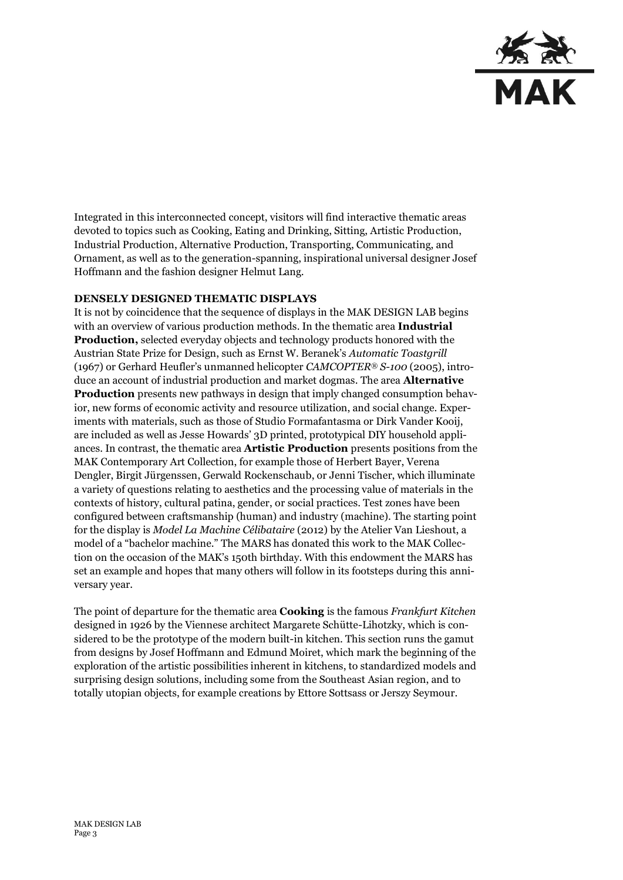

Integrated in this interconnected concept, visitors will find interactive thematic areas devoted to topics such as Cooking, Eating and Drinking, Sitting, Artistic Production, Industrial Production, Alternative Production, Transporting, Communicating, and Ornament, as well as to the generation-spanning, inspirational universal designer Josef Hoffmann and the fashion designer Helmut Lang.

## **DENSELY DESIGNED THEMATIC DISPLAYS**

It is not by coincidence that the sequence of displays in the MAK DESIGN LAB begins with an overview of various production methods. In the thematic area **Industrial Production,** selected everyday objects and technology products honored with the Austrian State Prize for Design, such as Ernst W. Beranek's *Automatic Toastgrill* (1967) or Gerhard Heufler's unmanned helicopter *CAMCOPTER® S-100* (2005), introduce an account of industrial production and market dogmas. The area **Alternative Production** presents new pathways in design that imply changed consumption behavior, new forms of economic activity and resource utilization, and social change. Experiments with materials, such as those of Studio Formafantasma or Dirk Vander Kooij, are included as well as Jesse Howards' 3D printed, prototypical DIY household appliances. In contrast, the thematic area **Artistic Production** presents positions from the MAK Contemporary Art Collection, for example those of Herbert Bayer, Verena Dengler, Birgit Jürgenssen, Gerwald Rockenschaub, or Jenni Tischer, which illuminate a variety of questions relating to aesthetics and the processing value of materials in the contexts of history, cultural patina, gender, or social practices. Test zones have been configured between craftsmanship (human) and industry (machine). The starting point for the display is *Model La Machine Célibataire* (2012) by the Atelier Van Lieshout, a model of a "bachelor machine." The MARS has donated this work to the MAK Collection on the occasion of the MAK's 150th birthday. With this endowment the MARS has set an example and hopes that many others will follow in its footsteps during this anniversary year.

The point of departure for the thematic area **Cooking** is the famous *Frankfurt Kitchen* designed in 1926 by the Viennese architect Margarete Schütte-Lihotzky, which is considered to be the prototype of the modern built-in kitchen. This section runs the gamut from designs by Josef Hoffmann and Edmund Moiret, which mark the beginning of the exploration of the artistic possibilities inherent in kitchens, to standardized models and surprising design solutions, including some from the Southeast Asian region, and to totally utopian objects, for example creations by Ettore Sottsass or Jerszy Seymour.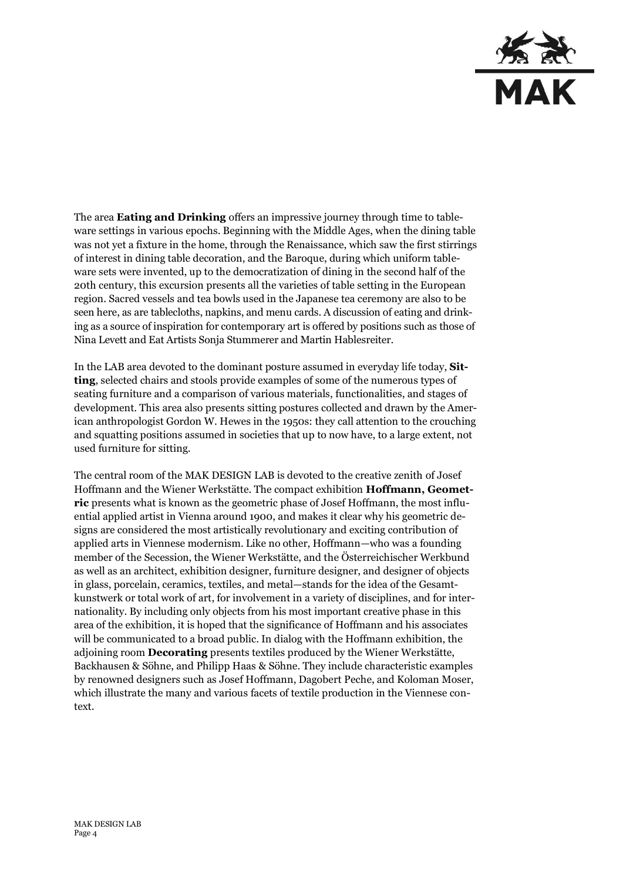

The area **Eating and Drinking** offers an impressive journey through time to tableware settings in various epochs. Beginning with the Middle Ages, when the dining table was not yet a fixture in the home, through the Renaissance, which saw the first stirrings of interest in dining table decoration, and the Baroque, during which uniform tableware sets were invented, up to the democratization of dining in the second half of the 20th century, this excursion presents all the varieties of table setting in the European region. Sacred vessels and tea bowls used in the Japanese tea ceremony are also to be seen here, as are tablecloths, napkins, and menu cards. A discussion of eating and drinking as a source of inspiration for contemporary art is offered by positions such as those of Nina Levett and Eat Artists Sonja Stummerer and Martin Hablesreiter.

In the LAB area devoted to the dominant posture assumed in everyday life today, **Sitting**, selected chairs and stools provide examples of some of the numerous types of seating furniture and a comparison of various materials, functionalities, and stages of development. This area also presents sitting postures collected and drawn by the American anthropologist Gordon W. Hewes in the 1950s: they call attention to the crouching and squatting positions assumed in societies that up to now have, to a large extent, not used furniture for sitting.

The central room of the MAK DESIGN LAB is devoted to the creative zenith of Josef Hoffmann and the Wiener Werkstätte. The compact exhibition **Hoffmann, Geometric** presents what is known as the geometric phase of Josef Hoffmann, the most influential applied artist in Vienna around 1900, and makes it clear why his geometric designs are considered the most artistically revolutionary and exciting contribution of applied arts in Viennese modernism. Like no other, Hoffmann—who was a founding member of the Secession, the Wiener Werkstätte, and the Österreichischer Werkbund as well as an architect, exhibition designer, furniture designer, and designer of objects in glass, porcelain, ceramics, textiles, and metal—stands for the idea of the Gesamtkunstwerk or total work of art, for involvement in a variety of disciplines, and for internationality. By including only objects from his most important creative phase in this area of the exhibition, it is hoped that the significance of Hoffmann and his associates will be communicated to a broad public. In dialog with the Hoffmann exhibition, the adjoining room **Decorating** presents textiles produced by the Wiener Werkstätte, Backhausen & Söhne, and Philipp Haas & Söhne. They include characteristic examples by renowned designers such as Josef Hoffmann, Dagobert Peche, and Koloman Moser, which illustrate the many and various facets of textile production in the Viennese context.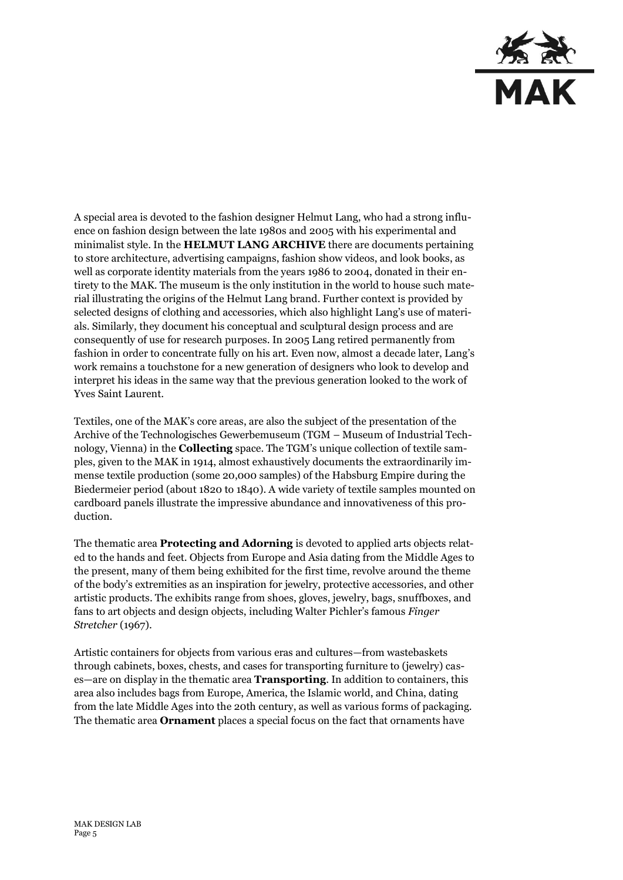

A special area is devoted to the fashion designer Helmut Lang, who had a strong influence on fashion design between the late 1980s and 2005 with his experimental and minimalist style. In the **HELMUT LANG ARCHIVE** there are documents pertaining to store architecture, advertising campaigns, fashion show videos, and look books, as well as corporate identity materials from the years 1986 to 2004, donated in their entirety to the MAK. The museum is the only institution in the world to house such material illustrating the origins of the Helmut Lang brand. Further context is provided by selected designs of clothing and accessories, which also highlight Lang's use of materials. Similarly, they document his conceptual and sculptural design process and are consequently of use for research purposes. In 2005 Lang retired permanently from fashion in order to concentrate fully on his art. Even now, almost a decade later, Lang's work remains a touchstone for a new generation of designers who look to develop and interpret his ideas in the same way that the previous generation looked to the work of Yves Saint Laurent.

Textiles, one of the MAK's core areas, are also the subject of the presentation of the Archive of the Technologisches Gewerbemuseum (TGM – Museum of Industrial Technology, Vienna) in the **Collecting** space. The TGM's unique collection of textile samples, given to the MAK in 1914, almost exhaustively documents the extraordinarily immense textile production (some 20,000 samples) of the Habsburg Empire during the Biedermeier period (about 1820 to 1840). A wide variety of textile samples mounted on cardboard panels illustrate the impressive abundance and innovativeness of this production.

The thematic area **Protecting and Adorning** is devoted to applied arts objects related to the hands and feet. Objects from Europe and Asia dating from the Middle Ages to the present, many of them being exhibited for the first time, revolve around the theme of the body's extremities as an inspiration for jewelry, protective accessories, and other artistic products. The exhibits range from shoes, gloves, jewelry, bags, snuffboxes, and fans to art objects and design objects, including Walter Pichler's famous *Finger Stretcher* (1967).

Artistic containers for objects from various eras and cultures—from wastebaskets through cabinets, boxes, chests, and cases for transporting furniture to (jewelry) cases—are on display in the thematic area **Transporting**. In addition to containers, this area also includes bags from Europe, America, the Islamic world, and China, dating from the late Middle Ages into the 20th century, as well as various forms of packaging. The thematic area **Ornament** places a special focus on the fact that ornaments have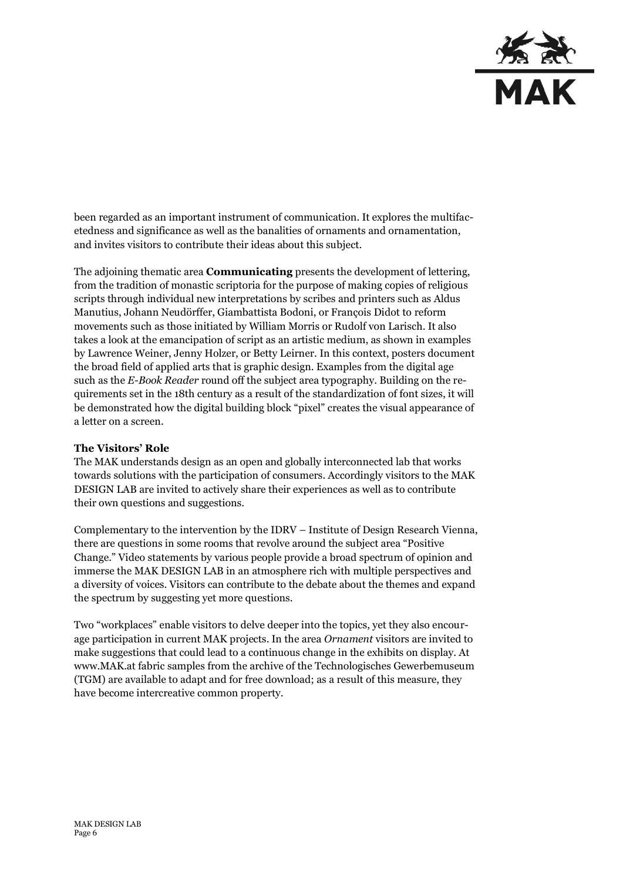

been regarded as an important instrument of communication. It explores the multifacetedness and significance as well as the banalities of ornaments and ornamentation, and invites visitors to contribute their ideas about this subject.

The adjoining thematic area **Communicating** presents the development of lettering, from the tradition of monastic scriptoria for the purpose of making copies of religious scripts through individual new interpretations by scribes and printers such as Aldus Manutius, Johann Neudörffer, Giambattista Bodoni, or François Didot to reform movements such as those initiated by William Morris or Rudolf von Larisch. It also takes a look at the emancipation of script as an artistic medium, as shown in examples by Lawrence Weiner, Jenny Holzer, or Betty Leirner. In this context, posters document the broad field of applied arts that is graphic design. Examples from the digital age such as the *E-Book Reader* round off the subject area typography. Building on the requirements set in the 18th century as a result of the standardization of font sizes, it will be demonstrated how the digital building block "pixel" creates the visual appearance of a letter on a screen.

## **The Visitors' Role**

The MAK understands design as an open and globally interconnected lab that works towards solutions with the participation of consumers. Accordingly visitors to the MAK DESIGN LAB are invited to actively share their experiences as well as to contribute their own questions and suggestions.

Complementary to the intervention by the IDRV – Institute of Design Research Vienna, there are questions in some rooms that revolve around the subject area "Positive Change." Video statements by various people provide a broad spectrum of opinion and immerse the MAK DESIGN LAB in an atmosphere rich with multiple perspectives and a diversity of voices. Visitors can contribute to the debate about the themes and expand the spectrum by suggesting yet more questions.

Two "workplaces" enable visitors to delve deeper into the topics, yet they also encourage participation in current MAK projects. In the area *Ornament* visitors are invited to make suggestions that could lead to a continuous change in the exhibits on display. At www.MAK.at fabric samples from the archive of the Technologisches Gewerbemuseum (TGM) are available to adapt and for free download; as a result of this measure, they have become intercreative common property.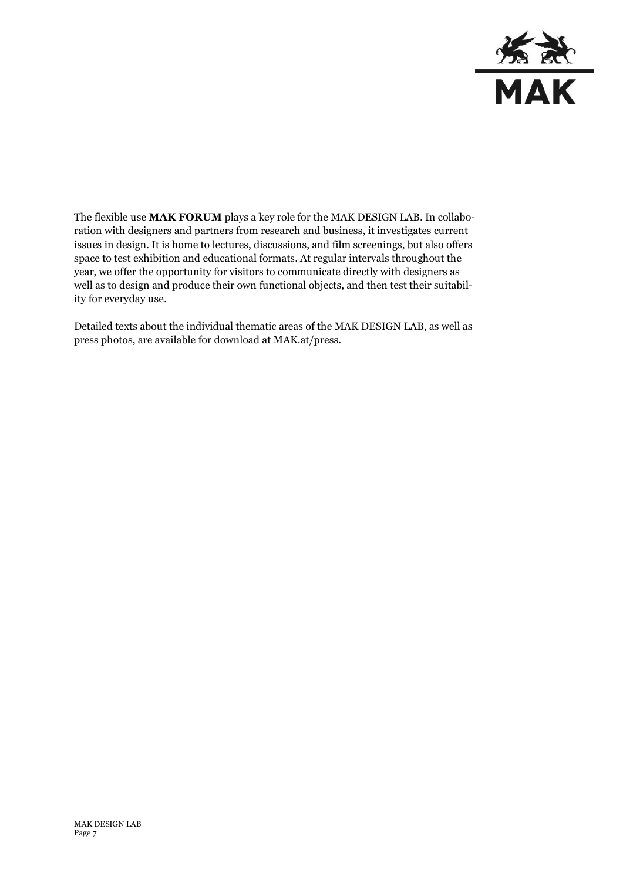

The flexible use **MAK FORUM** plays a key role for the MAK DESIGN LAB. In collaboration with designers and partners from research and business, it investigates current issues in design. It is home to lectures, discussions, and film screenings, but also offers space to test exhibition and educational formats. At regular intervals throughout the year, we offer the opportunity for visitors to communicate directly with designers as well as to design and produce their own functional objects, and then test their suitability for everyday use.

Detailed texts about the individual thematic areas of the MAK DESIGN LAB, as well as press photos, are available for download at MAK.at/press.